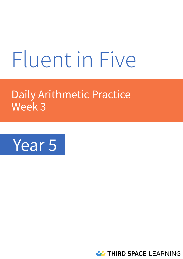# Fluent in Five

# Daily Arithmetic Practice Week 3



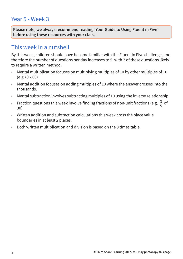## Year 5 - Week 3

**Please note, we always recommend reading 'Your Guide to Using Fluent in Five' before using these resources with your class.** 

### This week in a nutshell

By this week, children should have become familiar with the Fluent in Five challenge, and therefore the number of questions per day increases to 5, with 2 of these questions likely to require a written method.

- Mental multiplication focuses on multiplying multiples of 10 by other multiples of 10 (e.g 70 x 60)
- Mental addition focuses on adding multiples of 10 where the answer crosses into the thousands.
- Mental subtraction involves subtracting multiples of 10 using the inverse relationship.
- Fraction questions this week involve finding fractions of non-unit fractions (e.g.  $\frac{3}{5}$  of 30) 5
- Written addition and subtraction calculations this week cross the place value boundaries in at least 2 places.
- Both written multiplication and division is based on the 8 times table.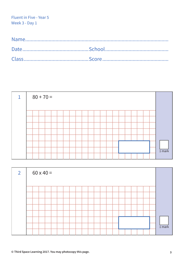| 1 |  | $80 + 70 =$ |  |  |  |  |  |  |  |  |  |          |
|---|--|-------------|--|--|--|--|--|--|--|--|--|----------|
|   |  |             |  |  |  |  |  |  |  |  |  |          |
|   |  |             |  |  |  |  |  |  |  |  |  |          |
|   |  |             |  |  |  |  |  |  |  |  |  |          |
|   |  |             |  |  |  |  |  |  |  |  |  |          |
|   |  |             |  |  |  |  |  |  |  |  |  |          |
|   |  |             |  |  |  |  |  |  |  |  |  |          |
|   |  |             |  |  |  |  |  |  |  |  |  | $1$ mark |
|   |  |             |  |  |  |  |  |  |  |  |  |          |

| $\overline{2}$ |  | $60 \times 40 =$ |  |  |  |  |  |  |  |  |          |
|----------------|--|------------------|--|--|--|--|--|--|--|--|----------|
|                |  |                  |  |  |  |  |  |  |  |  |          |
|                |  |                  |  |  |  |  |  |  |  |  |          |
|                |  |                  |  |  |  |  |  |  |  |  |          |
|                |  |                  |  |  |  |  |  |  |  |  |          |
|                |  |                  |  |  |  |  |  |  |  |  |          |
|                |  |                  |  |  |  |  |  |  |  |  |          |
|                |  |                  |  |  |  |  |  |  |  |  | $1$ mark |
|                |  |                  |  |  |  |  |  |  |  |  |          |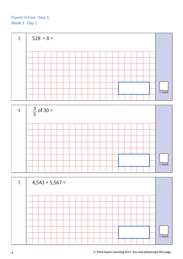



| $5\overline{5}$ |  |  | $4,543 + 5,567 =$ |  |  |  |  |  |  |  |        |
|-----------------|--|--|-------------------|--|--|--|--|--|--|--|--------|
|                 |  |  |                   |  |  |  |  |  |  |  |        |
|                 |  |  |                   |  |  |  |  |  |  |  |        |
|                 |  |  |                   |  |  |  |  |  |  |  |        |
|                 |  |  |                   |  |  |  |  |  |  |  |        |
|                 |  |  |                   |  |  |  |  |  |  |  |        |
|                 |  |  |                   |  |  |  |  |  |  |  |        |
|                 |  |  |                   |  |  |  |  |  |  |  | 1 mark |
|                 |  |  |                   |  |  |  |  |  |  |  |        |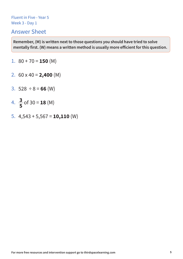#### Answer Sheet

- 1.  $80 + 70 = 150$  (M)
- 2.  $60 \times 40 = 2,400 \text{ (M)}$
- 3.  $528 \div 8 = 66$  (W)
- 4.  $\frac{3}{5}$  of 30 = **18** (M) **5**
- 5. 4,543 + 5,567 = **10,110** (W)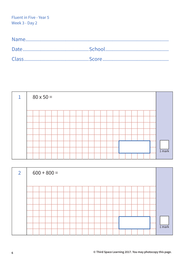| 1 | $80 \times 50 =$ |  |  |  |  |  |  |  |  |  |          |
|---|------------------|--|--|--|--|--|--|--|--|--|----------|
|   |                  |  |  |  |  |  |  |  |  |  |          |
|   |                  |  |  |  |  |  |  |  |  |  |          |
|   |                  |  |  |  |  |  |  |  |  |  |          |
|   |                  |  |  |  |  |  |  |  |  |  |          |
|   |                  |  |  |  |  |  |  |  |  |  |          |
|   |                  |  |  |  |  |  |  |  |  |  |          |
|   |                  |  |  |  |  |  |  |  |  |  | $1$ mark |
|   |                  |  |  |  |  |  |  |  |  |  |          |

| $\overline{2}$ | $600 + 800 =$ |  |  |  |  |  |  |  |  |  |        |
|----------------|---------------|--|--|--|--|--|--|--|--|--|--------|
|                |               |  |  |  |  |  |  |  |  |  |        |
|                |               |  |  |  |  |  |  |  |  |  |        |
|                |               |  |  |  |  |  |  |  |  |  |        |
|                |               |  |  |  |  |  |  |  |  |  |        |
|                |               |  |  |  |  |  |  |  |  |  |        |
|                |               |  |  |  |  |  |  |  |  |  |        |
|                |               |  |  |  |  |  |  |  |  |  |        |
|                |               |  |  |  |  |  |  |  |  |  | 1 mark |
|                |               |  |  |  |  |  |  |  |  |  |        |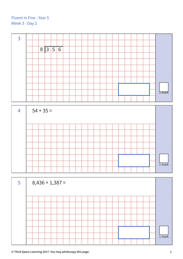| $\overline{3}$ |             |  |         |  |  |  |  |  |  |  |  |                     |
|----------------|-------------|--|---------|--|--|--|--|--|--|--|--|---------------------|
|                |             |  |         |  |  |  |  |  |  |  |  |                     |
|                |             |  | 8 3 5 6 |  |  |  |  |  |  |  |  |                     |
|                |             |  |         |  |  |  |  |  |  |  |  |                     |
|                |             |  |         |  |  |  |  |  |  |  |  |                     |
|                |             |  |         |  |  |  |  |  |  |  |  |                     |
|                |             |  |         |  |  |  |  |  |  |  |  |                     |
|                |             |  |         |  |  |  |  |  |  |  |  |                     |
|                |             |  |         |  |  |  |  |  |  |  |  |                     |
|                |             |  |         |  |  |  |  |  |  |  |  | <b>I</b> mark       |
|                |             |  |         |  |  |  |  |  |  |  |  |                     |
|                |             |  |         |  |  |  |  |  |  |  |  |                     |
| $\overline{4}$ | $54 + 35 =$ |  |         |  |  |  |  |  |  |  |  |                     |
|                |             |  |         |  |  |  |  |  |  |  |  |                     |
|                |             |  |         |  |  |  |  |  |  |  |  |                     |
|                |             |  |         |  |  |  |  |  |  |  |  |                     |
|                |             |  |         |  |  |  |  |  |  |  |  |                     |
|                |             |  |         |  |  |  |  |  |  |  |  |                     |
|                |             |  |         |  |  |  |  |  |  |  |  |                     |
|                |             |  |         |  |  |  |  |  |  |  |  |                     |
|                |             |  |         |  |  |  |  |  |  |  |  |                     |
|                |             |  |         |  |  |  |  |  |  |  |  | $\overline{1}$ mark |

| $5\overline{)}$ | $8,436 + 1,387 =$ |          |
|-----------------|-------------------|----------|
|                 |                   |          |
|                 |                   |          |
|                 |                   |          |
|                 |                   |          |
|                 |                   |          |
|                 |                   |          |
|                 |                   | $1$ mark |
|                 |                   |          |

**© Third Space Learning 2017. You may photocopy this page. 7**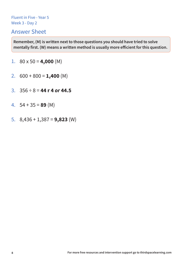#### Answer Sheet

- 1.  $80 \times 50 = 4,000$  (M)
- 2.  $600 + 800 = 1,400$  (M)
- 3.  $356 \div 8 = 44$  **r** 4 or 44.5
- 4. 54 + 35 = **89** (M)
- 5. 8,436 + 1,387 = **9,823** (W)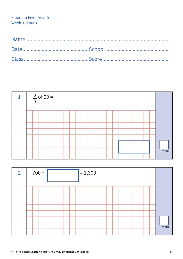

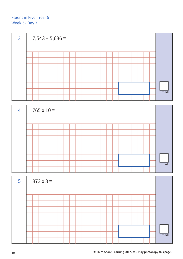



| $-5$ | $873 \times 8 =$ |  |  |  |  |  |  |  |  |  |          |
|------|------------------|--|--|--|--|--|--|--|--|--|----------|
|      |                  |  |  |  |  |  |  |  |  |  |          |
|      |                  |  |  |  |  |  |  |  |  |  |          |
|      |                  |  |  |  |  |  |  |  |  |  |          |
|      |                  |  |  |  |  |  |  |  |  |  |          |
|      |                  |  |  |  |  |  |  |  |  |  |          |
|      |                  |  |  |  |  |  |  |  |  |  |          |
|      |                  |  |  |  |  |  |  |  |  |  | $1$ mark |
|      |                  |  |  |  |  |  |  |  |  |  |          |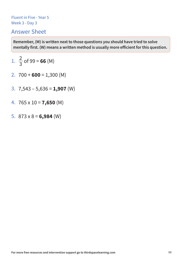#### Answer Sheet

1. 
$$
\frac{2}{3}
$$
 of 99 = **66** (M)

- 2.  $700 + 600 = 1,300$  (M)
- 3. 7,543 5,636 = **1,907** (W)
- 4. 765 x 10 = **7,650** (M)
- 5.  $873 \times 8 = 6,984$  (W)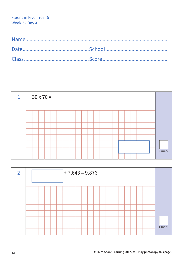| $\mathbf{1}$ | $30 \times 70 =$ |          |
|--------------|------------------|----------|
|              |                  |          |
|              |                  |          |
|              |                  |          |
|              |                  |          |
|              |                  |          |
|              |                  |          |
|              |                  |          |
|              |                  | $1$ mark |
|              |                  |          |

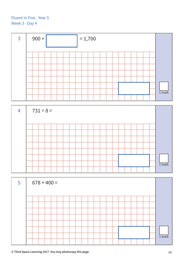



| $5\overline{)}$ | $678 + 400 =$ |  |  |  |  |  |  |  |  |  |                   |
|-----------------|---------------|--|--|--|--|--|--|--|--|--|-------------------|
|                 |               |  |  |  |  |  |  |  |  |  |                   |
|                 |               |  |  |  |  |  |  |  |  |  |                   |
|                 |               |  |  |  |  |  |  |  |  |  |                   |
|                 |               |  |  |  |  |  |  |  |  |  |                   |
|                 |               |  |  |  |  |  |  |  |  |  |                   |
|                 |               |  |  |  |  |  |  |  |  |  |                   |
|                 |               |  |  |  |  |  |  |  |  |  | 1 <sub>mark</sub> |
|                 |               |  |  |  |  |  |  |  |  |  |                   |

**© Third Space Learning 2017. You may photocopy this page. 13**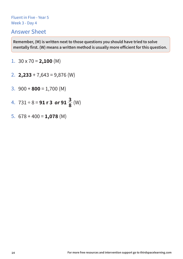#### Answer Sheet

- 1.  $30 \times 70 = 2,100$  (M)
- 2. **2,233** + 7,643 = 9,876 (W)
- 3.  $900 + 800 = 1,700$  (M)
- 4.  $731 \div 8 = 91$  r 3 or  $91 \frac{3}{8}$  (W) **3 8**
- 5.  $678 + 400 = 1,078$  (M)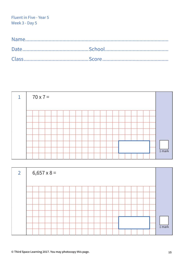| 1 |  | $70 \times 7 =$ |  |  |  |  |  |  |  |  |  |          |
|---|--|-----------------|--|--|--|--|--|--|--|--|--|----------|
|   |  |                 |  |  |  |  |  |  |  |  |  |          |
|   |  |                 |  |  |  |  |  |  |  |  |  |          |
|   |  |                 |  |  |  |  |  |  |  |  |  |          |
|   |  |                 |  |  |  |  |  |  |  |  |  |          |
|   |  |                 |  |  |  |  |  |  |  |  |  |          |
|   |  |                 |  |  |  |  |  |  |  |  |  |          |
|   |  |                 |  |  |  |  |  |  |  |  |  |          |
|   |  |                 |  |  |  |  |  |  |  |  |  | $1$ mark |
|   |  |                 |  |  |  |  |  |  |  |  |  |          |

| $\overline{2}$ | $6,657 \times 8 =$ |  |  |  |  |  |  |  |  |  |          |
|----------------|--------------------|--|--|--|--|--|--|--|--|--|----------|
|                |                    |  |  |  |  |  |  |  |  |  |          |
|                |                    |  |  |  |  |  |  |  |  |  |          |
|                |                    |  |  |  |  |  |  |  |  |  |          |
|                |                    |  |  |  |  |  |  |  |  |  |          |
|                |                    |  |  |  |  |  |  |  |  |  |          |
|                |                    |  |  |  |  |  |  |  |  |  |          |
|                |                    |  |  |  |  |  |  |  |  |  | $1$ mark |
|                |                    |  |  |  |  |  |  |  |  |  |          |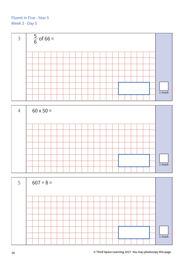

| $\overline{4}$ |  | $60 \times 50 =$ |  |  |  |  |  |  |  |  |          |
|----------------|--|------------------|--|--|--|--|--|--|--|--|----------|
|                |  |                  |  |  |  |  |  |  |  |  |          |
|                |  |                  |  |  |  |  |  |  |  |  |          |
|                |  |                  |  |  |  |  |  |  |  |  |          |
|                |  |                  |  |  |  |  |  |  |  |  |          |
|                |  |                  |  |  |  |  |  |  |  |  |          |
|                |  |                  |  |  |  |  |  |  |  |  |          |
|                |  |                  |  |  |  |  |  |  |  |  |          |
|                |  |                  |  |  |  |  |  |  |  |  | $1$ mark |
|                |  |                  |  |  |  |  |  |  |  |  |          |

| $5\overline{)}$ | $607 \div 8 =$ |  |  |  |  |  |  |  |  |  |          |
|-----------------|----------------|--|--|--|--|--|--|--|--|--|----------|
|                 |                |  |  |  |  |  |  |  |  |  |          |
|                 |                |  |  |  |  |  |  |  |  |  |          |
|                 |                |  |  |  |  |  |  |  |  |  |          |
|                 |                |  |  |  |  |  |  |  |  |  |          |
|                 |                |  |  |  |  |  |  |  |  |  |          |
|                 |                |  |  |  |  |  |  |  |  |  |          |
|                 |                |  |  |  |  |  |  |  |  |  | $1$ mark |
|                 |                |  |  |  |  |  |  |  |  |  |          |